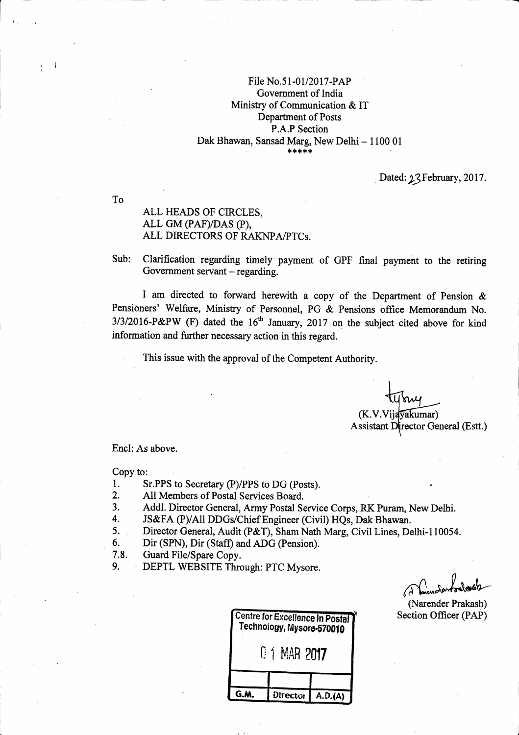#### File No.51-01/2017-PAP Government of India Ministry of Communication & IT Departrnent of Posts P.A.P Section Dak Bhawan, Sansad Marg, New Delhi - 1100 01 ,lc tlr \* rh \*

Dated: 23 February, 2017.

To

 $\mathbb{R}^2$ i,

### ALL HEADS OF CIRCLES, ALL GM (PAF/DAS (P), ALL DIRECTORS OF RAKNPA/PTCs.

Sub: Clarification regarding timely payment of GPF final payment to the retiring Government servant  $-$  regarding.

I am directed to forward herewith a copy of the Department of Pension & Pensioners' Welfare, Ministry of Personnel, PG & Pensions office Memorandum No.  $3/3/2016$ -P&PW (F) dated the  $16<sup>th</sup>$  January, 2017 on the subject cited above for kind information and further necessary action in this regard.

This issue with the approval of the Competent Authority.

(K.V.Vijavakumar) Assistant Director General (Estt.)

Encl: As above.

Copy to:

- 1. Sr.PPS to Secretary (P)/PPS to DG (Posts).<br>2. All Members of Postal Services Board.
- 
- 2. All Members of Postal Services Board.<br>
3. Addl. Director General, Army Postal Service Corps, RK Puram, New Delhi.<br>
4. JS&FA (P)/All DDGs/Chief Engineer (Civil) HQs, Dak Bhawan.<br>
5. Director General, Audit (P&T), Sham Na
- 
- 5. Director General, Audit (P&T), Sham Nath Marg, Civil Lines, Delhi-110054.<br>6. Dir (SPN), Dir (Staff) and ADG (Pension).<br>7.8. Guard File/Spare Conv.
- 
- Guard File/Spare Copy.
- 9. ' DEPTL WEBSITE Through: PTC Mysore.

(Narender Prakash) Section Officer (PAP)

| Technology, Mysore-570010 | <b>Centre for Excellence In Postal</b> |
|---------------------------|----------------------------------------|
| 0 1 MAR 2017              |                                        |
| Director                  | A.D.(A)                                |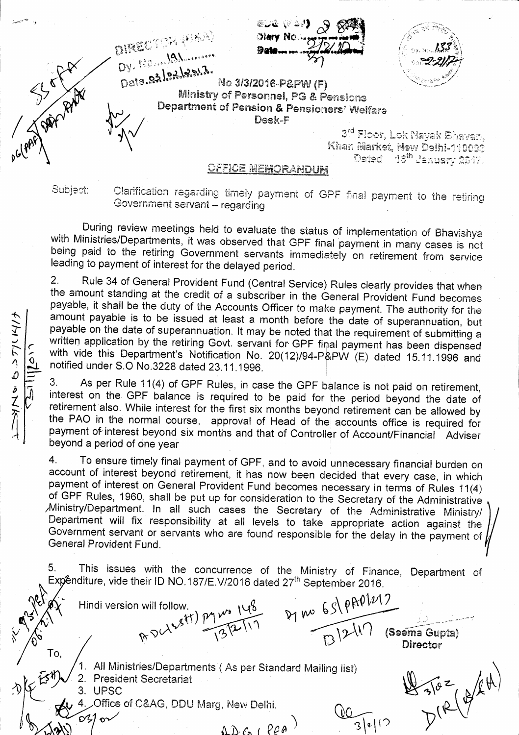&D& (# 23) DIRECTOR (FAR) **Diary No.** Dy. No. see Malanonsare - Lepel Star River Data. 02/02/2017. No 3/3/2016-P&PW (F) Ministry of Personnel, PG & Pensions Department of Pension & Pensioners' Welfare Desk-F 3<sup>rd</sup> Floor, Lok Nayak Bhavan, Khan Market, New Delhi-110003 Dated 16<sup>th</sup> January 2017. OFFICE MEMORANDUM

Subject:

 $010^{\circ}$ 

 $\frac{1}{2}$ 

Clarification regarding timely payment of GPF final payment to the retiring Government servant - regarding

During review meetings held to evaluate the status of implementation of Bhavishya with Ministries/Departments, it was observed that GPF final payment in many cases is not being paid to the retiring Government servants immediately on retirement from service leading to payment of interest for the delayed period.

 $2.$ Rule 34 of General Provident Fund (Central Service) Rules clearly provides that when the amount standing at the credit of a subscriber in the General Provident Fund becomes payable, it shall be the duty of the Accounts Officer to make payment. The authority for the amount payable is to be issued at least a month before the date of superannuation, but payable on the date of superannuation. It may be noted that the requirement of submitting a written application by the retiring Govt. servant for GPF final payment has been dispensed with vide this Department's Notification No. 20(12)/94-P&PW (E) dated 15.11.1996 and notified under S.O No.3228 dated 23.11.1996.

3. As per Rule 11(4) of GPF Rules, in case the GPF balance is not paid on retirement, interest on the GPF balance is required to be paid for the period beyond the date of retirement also. While interest for the first six months beyond retirement can be allowed by the PAO in the normal course, approval of Head of the accounts office is required for payment of interest beyond six months and that of Controller of Account/Financial Adviser beyond a period of one year

 $\overline{4}$ . To ensure timely final payment of GPF, and to avoid unnecessary financial burden on account of interest beyond retirement, it has now been decided that every case, in which payment of interest on General Provident Fund becomes necessary in terms of Rules 11(4) of GPF Rules, 1960, shall be put up for consideration to the Secretary of the Administrative Ministry/Department. In all such cases the Secretary of the Administrative Ministry/ Department will fix responsibility at all levels to take appropriate action against the Government servant or servants who are found responsible for the delay in the payment of General Provident Fund

This issues with the concurrence of the Ministry of Finance, Department of 5. Expénditure, vide their ID NO.187/E.V/2016 dated 27<sup>th</sup> September 2016.

will follow.<br>R DU 1941) Py W 148<br>R DU 13/2117<br>R J 2117 (Seema Gupta) Hindi version will follow. Director To,  $483102(84)$ 1. All Ministries/Departments (As per Standard Mailing list) 2. President Secretariat 3. UPSC 4. Office of C&AG, DDU Marg, New Delhi.

 $ADG(PeA)$ 

 $3|2|12$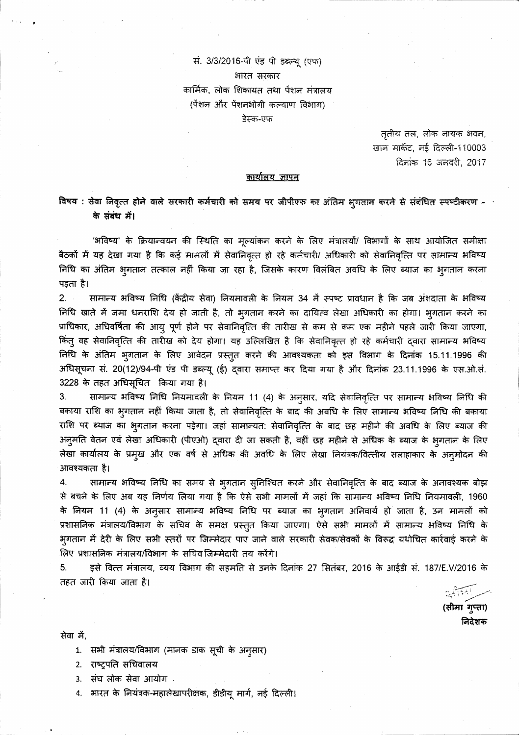# सं. 3/3/2016-पी एंड पी डब्ल्यू (एफ) भारत सरकार कार्मिक, लोक शिकायत तथा पेंशन मंत्रालय (पेंशन और पेंशनभोगी कल्याण विभाग) डेस्क-एफ

तृतीय तल, लोक नायक भवन, खान मार्केट, नई दिल्ली-110003 दिनांक 16 जनवरी, 2017

#### <u>कार्यालय ज्ञापत</u>

## ं विषय : सेवा निवृत्त होने वाले सरकारी कर्मचारी को समय पर जीपीएफ का अंतिम भुगतान करते से संबंधित स्पष्टीकरण -के संबंध में।

'भविष्य' के क्रियान्वयन की स्थिति का मूल्यांकन करने के लिए मंत्रालयों/ विभागों के साथ आयोजित समीक्षा बैठकों में यह देखा गया है कि कई मामलों में सेवानिवृत्त हो रहे कर्मचारी/ अधिकारी को सेवानिवृत्ति पर सामान्य भविष्य निधि का अंतिम भुगतान तत्काल नहीं किया जा रहा है, जिसके कारण विलंबित अवधि के लिए ब्याज का भुगतान करना पड़ता है।

 $2.$ सामान्य भविष्य निधि (केंद्रीय सेवा) नियमावली के नियम 34 में स्पष्ट प्रावधान है कि जब अंशदाता के भविष्य निधि खाते में जमा धनराशि देय हो जाती है, तो भुगतान करने का दायित्व लेखा अधिकारी का होगा। भुगतान करने का प्राधिकार, अधिवर्षिता की आयु पूर्ण होने पर सेवानिवृत्ति की तारीख से कम से कम एक महीने पहले जारी किया जाएगा, किंतु वह सेवानिवृत्ति की तारीख को देय होगा। यह उल्लिखित है कि सेवानिवृत्त हो रहे कर्मचारी द्वारा सामान्य भविष्य निधि के अंतिम भुगतान के लिए आवेदन प्रस्तुत करने की आवश्यकता को इस विभाग के दिनांक 15.11.1996 की अधिसूचना सं. 20(12)/94-पी एंड पी डब्ल्यू (ई) द्वारा समाप्त कर दिया गया है और दिनांक 23.11.1996 के एस.ओ.सं. 3228 के तहत अधिसूचित किया गया है।

सामान्य भविष्य निधि नियमावली के नियम 11 (4) के अनुसार, यदि सेवानिवृत्ति पर सामान्य भविष्य निधि की 3. बकाया राशि का भुगतान नहीं किया जाता है, तो सेवानिवृत्ति के बाद की अवधि के लिए सामान्य भविष्य निधि की बकाया राशि पर ब्याज का भुगतान करना पड़ेगा। जहां सामान्यत: सेवानिवृत्ति के बाद छह महीने की अवधि के लिए ब्याज की अनुमति वेतन एवं लेखा अधिकारी (पीएओ) दवारा दी जा सकती है, वहीं छह महीने से अधिक के ब्याज के भूगतान के लिए लेखा कार्यालय के प्रमुख और एक वर्ष से अधिक की अवधि के लिए लेखा नियंत्रक/वित्तीय सलाहाकार के अनुमोदन की आवश्यकता है।

4. सामान्य भविष्य निधि का समय से भुगतान सुनिश्चित करने और सेवानिवृत्ति के बाद ब्याज के अनावश्यक बोझ से बचने के लिए अब यह निर्णय लिया गया है कि ऐसे सभी मामलों में जहां कि सामान्य भविष्य निधि नियमावली, 1960 के नियम 11 (4) के अन्सार सामान्य भविष्य निधि पर ब्याज का भुगतान अनिवार्य हो जाता है, उन मामलों को प्रशासनिक मंत्रालय/विभाग के सचिव के समक्ष प्रस्तुत किया जाएगा। ऐसे सभी मामलों में सामान्य भविष्य निधि के भुगतान में देरी के लिए सभी स्तरों पर जिम्मेदार पाए जाने वाले सरकारी सेवक/सेवकों के विरूद्ध यथोचित कार्रवाई करने के लिए प्रशासनिक मंत्रालय/विभाग के सचिव जिम्मेदारी तय करेंगे।

इसे वित्त मंत्रालय, व्यय विभाग की सहमति से उनके दिनांक 27 सितंबर, 2016 के आईडी सं. 187/E.V/2016 के 5. तहत जारी किया जाता है।

(सीमा गुप्ता)

निदेशक

सेवा में,

- 1. सभी मंत्रालय/विभाग (मानक डाक सूची के अनुसार)
- 2. राष्ट्रपति सचिवालय
- संघ लोक सेवा आयोग .  $3.$
- भारत के नियंत्रक-महालेखापरीक्षक, डीडीयू मार्ग, नई दिल्ली। 4.